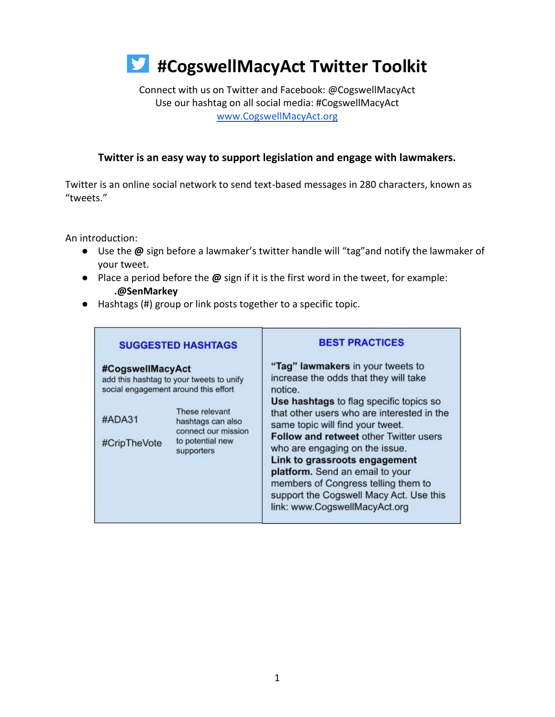#### Connect with us on Twitter and Facebook: @CogswellMacyAct Use our hashtag on all social media: #CogswellMacyAct [www.CogswellMacyAct.org](http://www.cogswellmacyact.org/)

#### **Twitter is an easy way to support legislation and engage with lawmakers.**

Twitter is an online social network to send text-based messages in 280 characters, known as "tweets."

An introduction:

- Use the **@** sign before a lawmaker's twitter handle will "tag"and notify the lawmaker of your tweet.
- Place a period before the **@** sign if it is the first word in the tweet, for example: **.@SenMarkey**
- Hashtags (#) group or link posts together to a specific topic.

| <b>SUGGESTED HASHTAGS</b>  |                                                                                                    | <b>BEST PRACTICES</b>                                                                                                                                                                                                                                                                               |  |  |  |
|----------------------------|----------------------------------------------------------------------------------------------------|-----------------------------------------------------------------------------------------------------------------------------------------------------------------------------------------------------------------------------------------------------------------------------------------------------|--|--|--|
| #CogswellMacyAct<br>#ADA31 | add this hashtag to your tweets to unify<br>social engagement around this effort<br>These relevant | "Tag" lawmakers in your tweets to<br>increase the odds that they will take<br>notice.<br>Use hashtags to flag specific topics so<br>that other users who are interested in the                                                                                                                      |  |  |  |
| #CripTheVote               | hashtags can also<br>connect our mission<br>to potential new<br>supporters                         | same topic will find your tweet.<br>Follow and retweet other Twitter users<br>who are engaging on the issue.<br>Link to grassroots engagement<br>platform. Send an email to your<br>members of Congress telling them to<br>support the Cogswell Macy Act. Use this<br>link: www.CogswellMacyAct.org |  |  |  |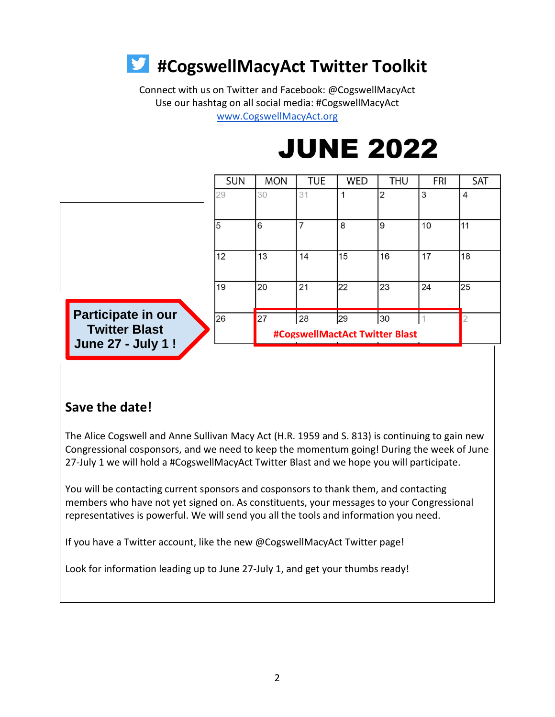Connect with us on Twitter and Facebook: @CogswellMacyAct Use our hashtag on all social media: #CogswellMacyAct [www.CogswellMacyAct.org](http://www.cogswellmacyact.org/)

**JUNE 2022** 

|                                                                        | <b>SUN</b> | <b>MON</b> | <b>TUE</b>     | <b>WED</b>                           | <b>THU</b>     | FRI | SAT |
|------------------------------------------------------------------------|------------|------------|----------------|--------------------------------------|----------------|-----|-----|
|                                                                        | 29         | 30         | 31             | 1                                    | $\overline{2}$ | 3   | 4   |
|                                                                        | 5          | 6          | $\overline{7}$ | 8                                    | 9              | 10  | 11  |
|                                                                        | 12         | 13         | 14             | 15                                   | 16             | 17  | 18  |
|                                                                        | 19         | 20         | 21             | 22                                   | 23             | 24  | 25  |
| Participate in our<br><b>Twitter Blast</b><br><b>June 27 - July 1!</b> | 26         | 27         | 28             | 29<br>#CogswellMactAct Twitter Blast | 30             |     |     |

### **Save the date!**

The Alice Cogswell and Anne Sullivan Macy Act (H.R. 1959 and S. 813) is continuing to gain new Congressional cosponsors, and we need to keep the momentum going! During the week of June 27-July 1 we will hold a #CogswellMacyAct Twitter Blast and we hope you will participate.

You will be contacting current sponsors and cosponsors to thank them, and contacting members who have not yet signed on. As constituents, your messages to your Congressional representatives is powerful. We will send you all the tools and information you need.

If you have a Twitter account, like the new @CogswellMacyAct Twitter page!

Look for information leading up to June 27-July 1, and get your thumbs ready!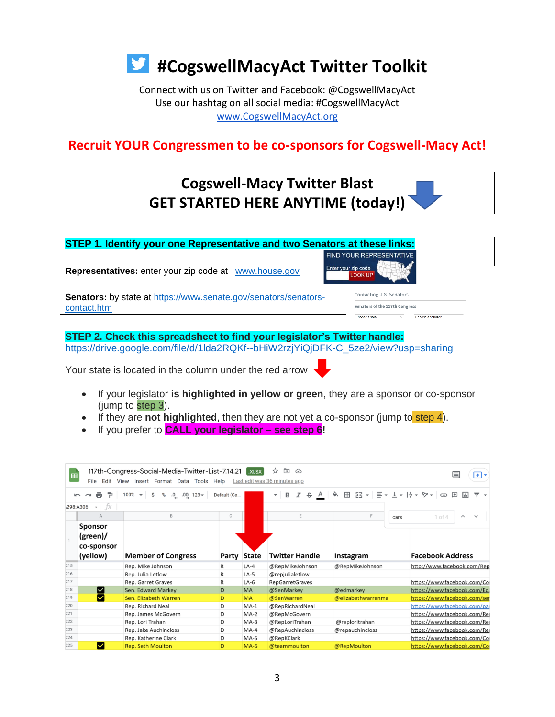

Connect with us on Twitter and Facebook: @CogswellMacyAct Use our hashtag on all social media: #CogswellMacyAct [www.CogswellMacyAct.org](http://www.cogswellmacyact.org/)

### **Recruit YOUR Congressmen to be co-sponsors for Cogswell-Macy Act!**

## **Cogswell-Macy Twitter Blast GET STARTED HERE ANYTIME (today!)**



#### **STEP 2. Check this spreadsheet to find your legislator's Twitter handle:** [https://drive.google.com/file/d/1lda2RQKf--bHiW2rzjYiQjDFK-C\\_5ze2/view?usp=sharing](https://drive.google.com/file/d/1lda2RQKf--bHiW2rzjYiQjDFK-C_5ze2/view?usp=sharing)

Your state is located in the column under the red arrow

- If your legislator **is highlighted in yellow or green**, they are a sponsor or co-sponsor (jump to step 3).
- If they are **not highlighted**, then they are not yet a co-sponsor (jump to step 4).
- If you prefer to **CALL your legislator – see step 6!**

| 囲   | File                                                | 117th-Congress-Social-Media-Twitter-List-7.14.21 7.xLsx<br>Edit View Insert Format Data Tools Help |              |             | $\overline{\mathbf{r}}$<br>☆<br>$\curvearrowright$<br>Last edit was 36 minutes ago |                    |      | ⋿<br>$\bullet$                                                  |
|-----|-----------------------------------------------------|----------------------------------------------------------------------------------------------------|--------------|-------------|------------------------------------------------------------------------------------|--------------------|------|-----------------------------------------------------------------|
|     |                                                     | 100%<br>.0<br>$.00 \quad 123 -$                                                                    | Default (Ca  |             |                                                                                    | 포공 -<br>田<br>三     |      | $\mathbf{v}$   $\frac{1}{2}$ $\mathbf{v}$<br>জ≁<br>$\Box$<br>GÐ |
|     | fx<br>298:A306<br>$\overline{\phantom{a}}$          |                                                                                                    |              |             |                                                                                    |                    |      |                                                                 |
|     | A                                                   | B                                                                                                  | $\mathbb{C}$ |             | Ε                                                                                  | F                  | cars | $1$ of $4$<br>ㅅ                                                 |
|     | <b>Sponsor</b><br>(green)<br>co-sponsor<br>(yellow) | <b>Member of Congress</b>                                                                          |              | Party State | <b>Twitter Handle</b>                                                              | Instagram          |      | <b>Facebook Address</b>                                         |
| 215 |                                                     | Rep. Mike Johnson                                                                                  | $\mathsf{R}$ | $LA-4$      | @RepMikeJohnson                                                                    | @RepMikeJohnson    |      | http://www.facebook.com/Rep                                     |
| 216 |                                                     | Rep. Julia Letlow                                                                                  | $\mathsf{R}$ | $LA-5$      | @repjulialetlow                                                                    |                    |      |                                                                 |
| 217 |                                                     | Rep. Garret Graves                                                                                 | R            | $LA-6$      | <b>RepGarretGraves</b>                                                             |                    |      | https://www.facebook.com/Co                                     |
| 218 | ⊠                                                   | Sen. Edward Markey                                                                                 | D            | <b>MA</b>   | @SenMarkey                                                                         | @edmarkey          |      | https://www.facebook.com/Ed.                                    |
| 219 | ᢦ                                                   | Sen. Elizabeth Warren                                                                              | D            | <b>MA</b>   | @SenWarren                                                                         | @elizabethwarrenma |      | https://www.facebook.com/ser                                    |
| 220 |                                                     | Rep. Richard Neal                                                                                  | D            | $MA-1$      | @RepRichardNeal                                                                    |                    |      | https://www.facebook.com/pag                                    |
| 221 |                                                     | Rep. James McGovern                                                                                | D            | $MA-2$      | @RepMcGovern                                                                       |                    |      | https://www.facebook.com/Rej                                    |
| 222 |                                                     | Rep. Lori Trahan                                                                                   | D            | $MA-3$      | @RepLoriTrahan                                                                     | @reploritrahan     |      | https://www.facebook.com/Rej                                    |
| 223 |                                                     | Rep. Jake Auchincloss                                                                              | D            | $MA-4$      | @RepAuchincloss                                                                    | @repauchincloss    |      | https://www.facebook.com/Rej                                    |
| 224 |                                                     | Rep. Katherine Clark                                                                               | D            | $MA-5$      | @RepKClark                                                                         |                    |      | https://www.facebook.com/Co                                     |
| 225 | ✓                                                   | <b>Rep. Seth Moulton</b>                                                                           | D            | $MA-6$      | @teammoulton                                                                       | @RepMoulton        |      | https://www.facebook.com/Co                                     |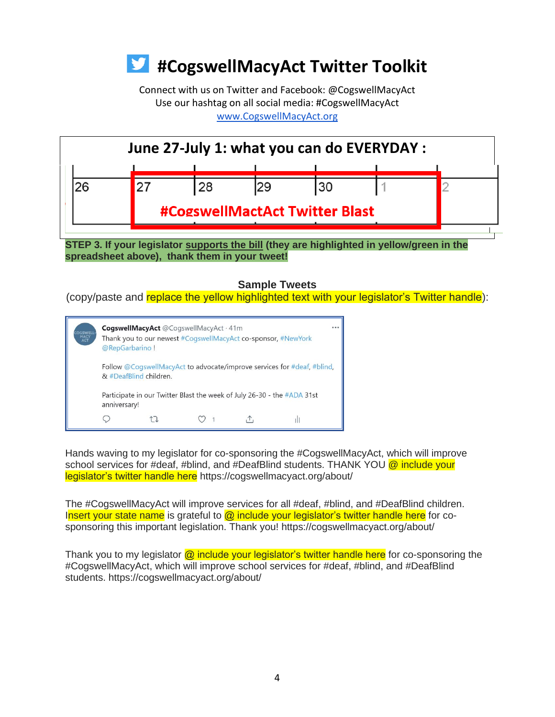Connect with us on Twitter and Facebook: @CogswellMacyAct Use our hashtag on all social media: #CogswellMacyAct [www.CogswellMacyAct.org](http://www.cogswellmacyact.org/)



#### **STEP 3. If your legislator supports the bill (they are highlighted in yellow/green in the spreadsheet above), thank them in your tweet!**

**Sample Tweets** 

(copy/paste and replace the yellow highlighted text with your legislator's Twitter handle):



Hands waving to my legislator for co-sponsoring the #CogswellMacyAct, which will improve school services for #deaf, #blind, and #DeafBlind students. THANK YOU @ include your legislator's twitter handle here https://cogswellmacyact.org/about/

The #CogswellMacyAct will improve services for all #deaf, #blind, and #DeafBlind children. Insert your state name is grateful to  $\omega$  include your legislator's twitter handle here for cosponsoring this important legislation. Thank you! https://cogswellmacyact.org/about/

Thank you to my legislator  $\omega$  include your legislator's twitter handle here for co-sponsoring the #CogswellMacyAct, which will improve school services for #deaf, #blind, and #DeafBlind students. https://cogswellmacyact.org/about/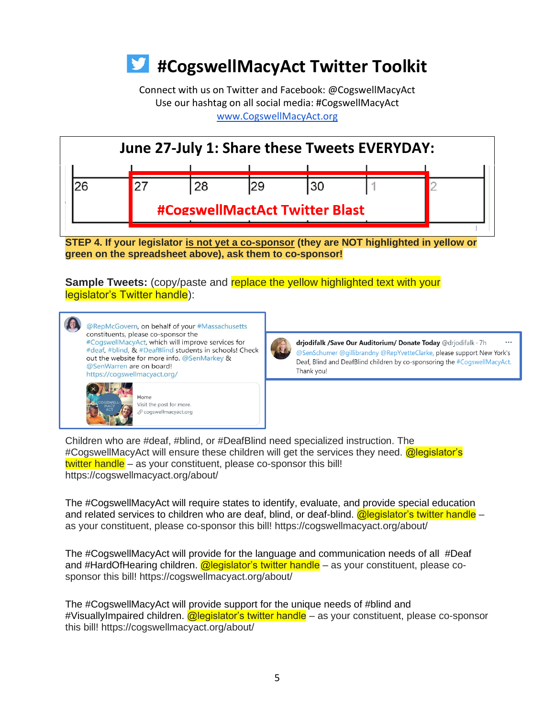Connect with us on Twitter and Facebook: @CogswellMacyAct Use our hashtag on all social media: #CogswellMacyAct [www.CogswellMacyAct.org](http://www.cogswellmacyact.org/)



**STEP 4. If your legislator is not yet a co-sponsor (they are NOT highlighted in yellow or green on the spreadsheet above), ask them to co-sponsor!**

**Sample Tweets:** (copy/paste and replace the yellow highlighted text with your legislator's Twitter handle):

@RepMcGovern, on behalf of your #Massachusetts constituents, please co-sponsor the #CogswellMacyAct, which will improve services for #deaf, #blind, & #DeafBlind students in schools! Check out the website for more info. @SenMarkey & @SenWarren are on board! https://cogswellmacyact.org/ Home Visit the post for more. √ cogswellmacyact.org

drjodifalk /Save Our Auditorium/ Donate Today @drjodifalk · 7h @SenSchumer @gillibrandny @RepYvetteClarke, please support New York's Deaf, Blind and DeafBlind children by co-sponsoring the #CogswellMacyAct. Thank you!

Children who are #deaf, #blind, or #DeafBlind need specialized instruction. The #CogswellMacyAct will ensure these children will get the services they need. @legislator's twitter handle – as your constituent, please co-sponsor this bill! https://cogswellmacyact.org/about/

The #CogswellMacyAct will require states to identify, evaluate, and provide special education and related services to children who are deaf, blind, or deaf-blind.  $\omega$  equislator's twitter handle – as your constituent, please co-sponsor this bill! https://cogswellmacyact.org/about/

The #CogswellMacyAct will provide for the language and communication needs of all #Deaf and #HardOfHearing children. **@legislator's twitter handle** – as your constituent, please cosponsor this bill! https://cogswellmacyact.org/about/

The #CogswellMacyAct will provide support for the unique needs of #blind and #VisuallyImpaired children. @legislator's twitter handle – as your constituent, please co-sponsor this bill! https://cogswellmacyact.org/about/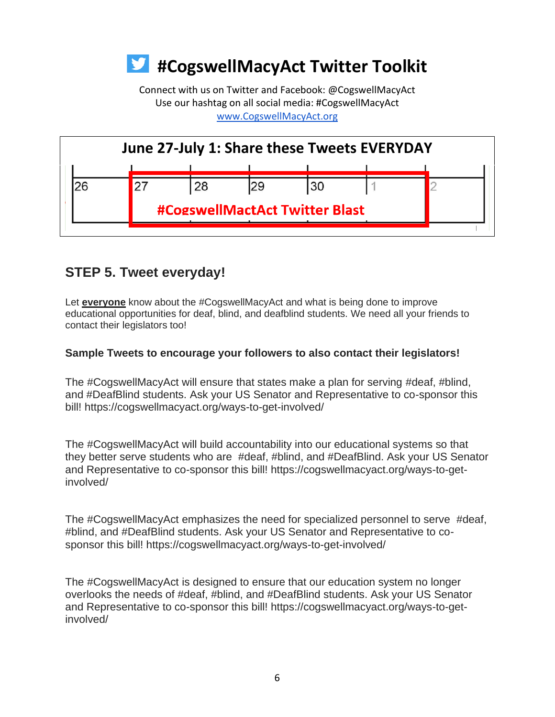Connect with us on Twitter and Facebook: @CogswellMacyAct Use our hashtag on all social media: #CogswellMacyAct [www.CogswellMacyAct.org](http://www.cogswellmacyact.org/)



### **STEP 5. Tweet everyday!**

Let **everyone** know about the #CogswellMacyAct and what is being done to improve educational opportunities for deaf, blind, and deafblind students. We need all your friends to contact their legislators too!

### **Sample Tweets to encourage your followers to also contact their legislators!**

The #CogswellMacyAct will ensure that states make a plan for serving #deaf, #blind, and #DeafBlind students. Ask your US Senator and Representative to co-sponsor this bill! https://cogswellmacyact.org/ways-to-get-involved/

The #CogswellMacyAct will build accountability into our educational systems so that they better serve students who are #deaf, #blind, and #DeafBlind. Ask your US Senator and Representative to co-sponsor this bill! https://cogswellmacyact.org/ways-to-getinvolved/

The #CogswellMacyAct emphasizes the need for specialized personnel to serve #deaf, #blind, and #DeafBlind students. Ask your US Senator and Representative to cosponsor this bill! https://cogswellmacyact.org/ways-to-get-involved/

The #CogswellMacyAct is designed to ensure that our education system no longer overlooks the needs of #deaf, #blind, and #DeafBlind students. Ask your US Senator and Representative to co-sponsor this bill! https://cogswellmacyact.org/ways-to-getinvolved/